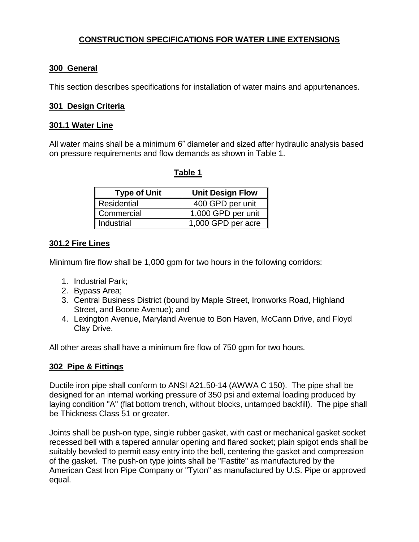# **CONSTRUCTION SPECIFICATIONS FOR WATER LINE EXTENSIONS**

## **300 General**

This section describes specifications for installation of water mains and appurtenances.

## **301 Design Criteria**

#### **301.1 Water Line**

All water mains shall be a minimum 6" diameter and sized after hydraulic analysis based on pressure requirements and flow demands as shown in Table 1.

| <b>Type of Unit</b> | <b>Unit Design Flow</b> |
|---------------------|-------------------------|
| <b>Residential</b>  | 400 GPD per unit        |
| Commercial          | 1,000 GPD per unit      |
| Industrial          | 1,000 GPD per acre      |

 **Table 1**

# **301.2 Fire Lines**

Minimum fire flow shall be 1,000 gpm for two hours in the following corridors:

- 1. Industrial Park;
- 2. Bypass Area;
- 3. Central Business District (bound by Maple Street, Ironworks Road, Highland Street, and Boone Avenue); and
- 4. Lexington Avenue, Maryland Avenue to Bon Haven, McCann Drive, and Floyd Clay Drive.

All other areas shall have a minimum fire flow of 750 gpm for two hours.

# **302 Pipe & Fittings**

Ductile iron pipe shall conform to ANSI A21.50-14 (AWWA C 150). The pipe shall be designed for an internal working pressure of 350 psi and external loading produced by laying condition "A" (flat bottom trench, without blocks, untamped backfill). The pipe shall be Thickness Class 51 or greater.

Joints shall be push-on type, single rubber gasket, with cast or mechanical gasket socket recessed bell with a tapered annular opening and flared socket; plain spigot ends shall be suitably beveled to permit easy entry into the bell, centering the gasket and compression of the gasket. The push-on type joints shall be "Fastite" as manufactured by the American Cast Iron Pipe Company or "Tyton" as manufactured by U.S. Pipe or approved equal.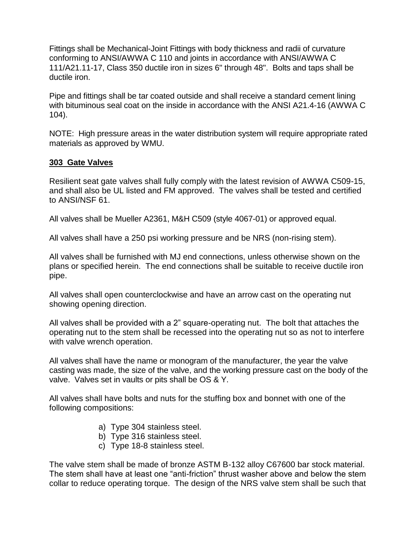Fittings shall be Mechanical-Joint Fittings with body thickness and radii of curvature conforming to ANSI/AWWA C 110 and joints in accordance with ANSI/AWWA C 111/A21.11-17, Class 350 ductile iron in sizes 6" through 48". Bolts and taps shall be ductile iron.

Pipe and fittings shall be tar coated outside and shall receive a standard cement lining with bituminous seal coat on the inside in accordance with the ANSI A21.4-16 (AWWA C 104).

NOTE: High pressure areas in the water distribution system will require appropriate rated materials as approved by WMU.

#### **303 Gate Valves**

Resilient seat gate valves shall fully comply with the latest revision of AWWA C509-15, and shall also be UL listed and FM approved. The valves shall be tested and certified to ANSI/NSF 61.

All valves shall be Mueller A2361, M&H C509 (style 4067-01) or approved equal.

All valves shall have a 250 psi working pressure and be NRS (non-rising stem).

All valves shall be furnished with MJ end connections, unless otherwise shown on the plans or specified herein. The end connections shall be suitable to receive ductile iron pipe.

All valves shall open counterclockwise and have an arrow cast on the operating nut showing opening direction.

All valves shall be provided with a 2" square-operating nut. The bolt that attaches the operating nut to the stem shall be recessed into the operating nut so as not to interfere with valve wrench operation.

All valves shall have the name or monogram of the manufacturer, the year the valve casting was made, the size of the valve, and the working pressure cast on the body of the valve. Valves set in vaults or pits shall be OS & Y.

All valves shall have bolts and nuts for the stuffing box and bonnet with one of the following compositions:

- a) Type 304 stainless steel.
- b) Type 316 stainless steel.
- c) Type 18-8 stainless steel.

The valve stem shall be made of bronze ASTM B-132 alloy C67600 bar stock material. The stem shall have at least one "anti-friction" thrust washer above and below the stem collar to reduce operating torque. The design of the NRS valve stem shall be such that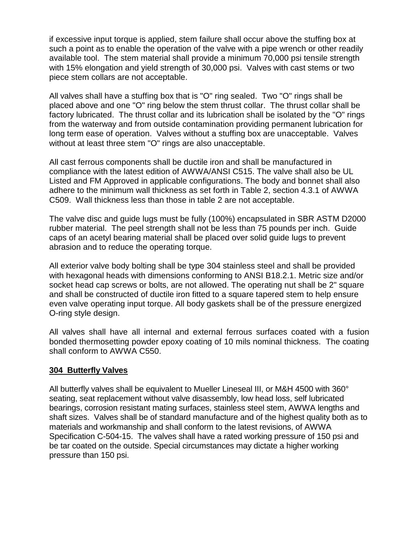if excessive input torque is applied, stem failure shall occur above the stuffing box at such a point as to enable the operation of the valve with a pipe wrench or other readily available tool. The stem material shall provide a minimum 70,000 psi tensile strength with 15% elongation and yield strength of 30,000 psi. Valves with cast stems or two piece stem collars are not acceptable.

All valves shall have a stuffing box that is "O" ring sealed. Two "O" rings shall be placed above and one "O" ring below the stem thrust collar. The thrust collar shall be factory lubricated. The thrust collar and its lubrication shall be isolated by the "O" rings from the waterway and from outside contamination providing permanent lubrication for long term ease of operation. Valves without a stuffing box are unacceptable. Valves without at least three stem "O" rings are also unacceptable.

All cast ferrous components shall be ductile iron and shall be manufactured in compliance with the latest edition of AWWA/ANSI C515. The valve shall also be UL Listed and FM Approved in applicable configurations. The body and bonnet shall also adhere to the minimum wall thickness as set forth in Table 2, section 4.3.1 of AWWA C509. Wall thickness less than those in table 2 are not acceptable.

The valve disc and guide lugs must be fully (100%) encapsulated in SBR ASTM D2000 rubber material. The peel strength shall not be less than 75 pounds per inch. Guide caps of an acetyl bearing material shall be placed over solid guide lugs to prevent abrasion and to reduce the operating torque.

All exterior valve body bolting shall be type 304 stainless steel and shall be provided with hexagonal heads with dimensions conforming to ANSI B18.2.1. Metric size and/or socket head cap screws or bolts, are not allowed. The operating nut shall be 2" square and shall be constructed of ductile iron fitted to a square tapered stem to help ensure even valve operating input torque. All body gaskets shall be of the pressure energized O-ring style design.

All valves shall have all internal and external ferrous surfaces coated with a fusion bonded thermosetting powder epoxy coating of 10 mils nominal thickness. The coating shall conform to AWWA C550.

#### **304 Butterfly Valves**

All butterfly valves shall be equivalent to Mueller Lineseal III, or M&H 4500 with 360° seating, seat replacement without valve disassembly, low head loss, self lubricated bearings, corrosion resistant mating surfaces, stainless steel stem, AWWA lengths and shaft sizes. Valves shall be of standard manufacture and of the highest quality both as to materials and workmanship and shall conform to the latest revisions, of AWWA Specification C-504-15. The valves shall have a rated working pressure of 150 psi and be tar coated on the outside. Special circumstances may dictate a higher working pressure than 150 psi.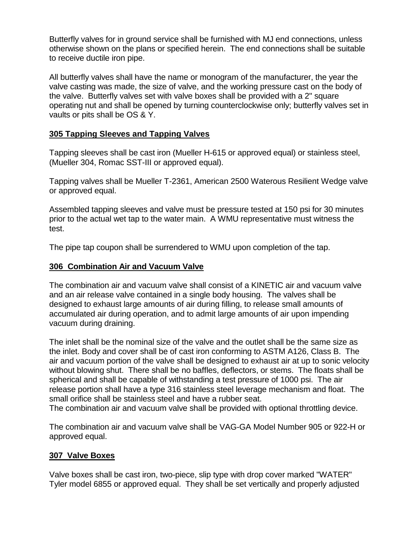Butterfly valves for in ground service shall be furnished with MJ end connections, unless otherwise shown on the plans or specified herein. The end connections shall be suitable to receive ductile iron pipe.

All butterfly valves shall have the name or monogram of the manufacturer, the year the valve casting was made, the size of valve, and the working pressure cast on the body of the valve. Butterfly valves set with valve boxes shall be provided with a 2" square operating nut and shall be opened by turning counterclockwise only; butterfly valves set in vaults or pits shall be OS & Y.

## **305 Tapping Sleeves and Tapping Valves**

Tapping sleeves shall be cast iron (Mueller H-615 or approved equal) or stainless steel, (Mueller 304, Romac SST-III or approved equal).

Tapping valves shall be Mueller T-2361, American 2500 Waterous Resilient Wedge valve or approved equal.

Assembled tapping sleeves and valve must be pressure tested at 150 psi for 30 minutes prior to the actual wet tap to the water main. A WMU representative must witness the test.

The pipe tap coupon shall be surrendered to WMU upon completion of the tap.

#### **306 Combination Air and Vacuum Valve**

The combination air and vacuum valve shall consist of a KINETIC air and vacuum valve and an air release valve contained in a single body housing. The valves shall be designed to exhaust large amounts of air during filling, to release small amounts of accumulated air during operation, and to admit large amounts of air upon impending vacuum during draining.

The inlet shall be the nominal size of the valve and the outlet shall be the same size as the inlet. Body and cover shall be of cast iron conforming to ASTM A126, Class B. The air and vacuum portion of the valve shall be designed to exhaust air at up to sonic velocity without blowing shut. There shall be no baffles, deflectors, or stems. The floats shall be spherical and shall be capable of withstanding a test pressure of 1000 psi. The air release portion shall have a type 316 stainless steel leverage mechanism and float. The small orifice shall be stainless steel and have a rubber seat.

The combination air and vacuum valve shall be provided with optional throttling device.

The combination air and vacuum valve shall be VAG-GA Model Number 905 or 922-H or approved equal.

#### **307 Valve Boxes**

Valve boxes shall be cast iron, two-piece, slip type with drop cover marked "WATER" Tyler model 6855 or approved equal. They shall be set vertically and properly adjusted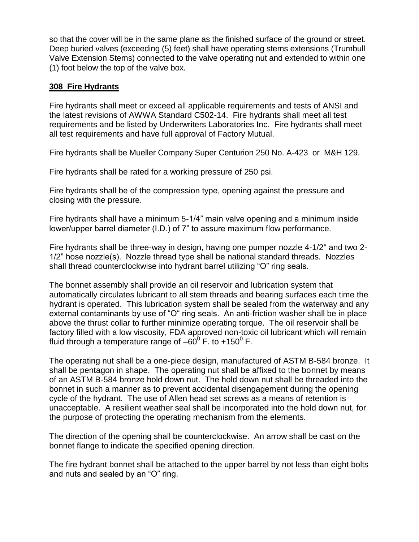so that the cover will be in the same plane as the finished surface of the ground or street. Deep buried valves (exceeding (5) feet) shall have operating stems extensions (Trumbull Valve Extension Stems) connected to the valve operating nut and extended to within one (1) foot below the top of the valve box.

#### **308 Fire Hydrants**

Fire hydrants shall meet or exceed all applicable requirements and tests of ANSI and the latest revisions of AWWA Standard C502-14. Fire hydrants shall meet all test requirements and be listed by Underwriters Laboratories Inc. Fire hydrants shall meet all test requirements and have full approval of Factory Mutual.

Fire hydrants shall be Mueller Company Super Centurion 250 No. A-423 or M&H 129.

Fire hydrants shall be rated for a working pressure of 250 psi.

Fire hydrants shall be of the compression type, opening against the pressure and closing with the pressure.

Fire hydrants shall have a minimum 5-1/4" main valve opening and a minimum inside lower/upper barrel diameter (I.D.) of 7" to assure maximum flow performance.

Fire hydrants shall be three-way in design, having one pumper nozzle 4-1/2" and two 2- 1/2" hose nozzle(s). Nozzle thread type shall be national standard threads. Nozzles shall thread counterclockwise into hydrant barrel utilizing "O" ring seals.

The bonnet assembly shall provide an oil reservoir and lubrication system that automatically circulates lubricant to all stem threads and bearing surfaces each time the hydrant is operated. This lubrication system shall be sealed from the waterway and any external contaminants by use of "O" ring seals. An anti-friction washer shall be in place above the thrust collar to further minimize operating torque. The oil reservoir shall be factory filled with a low viscosity, FDA approved non-toxic oil lubricant which will remain fluid through a temperature range of  $-60^0$  F. to +150<sup>0</sup> F.

The operating nut shall be a one-piece design, manufactured of ASTM B-584 bronze. It shall be pentagon in shape. The operating nut shall be affixed to the bonnet by means of an ASTM B-584 bronze hold down nut. The hold down nut shall be threaded into the bonnet in such a manner as to prevent accidental disengagement during the opening cycle of the hydrant. The use of Allen head set screws as a means of retention is unacceptable. A resilient weather seal shall be incorporated into the hold down nut, for the purpose of protecting the operating mechanism from the elements.

The direction of the opening shall be counterclockwise. An arrow shall be cast on the bonnet flange to indicate the specified opening direction.

The fire hydrant bonnet shall be attached to the upper barrel by not less than eight bolts and nuts and sealed by an "O" ring.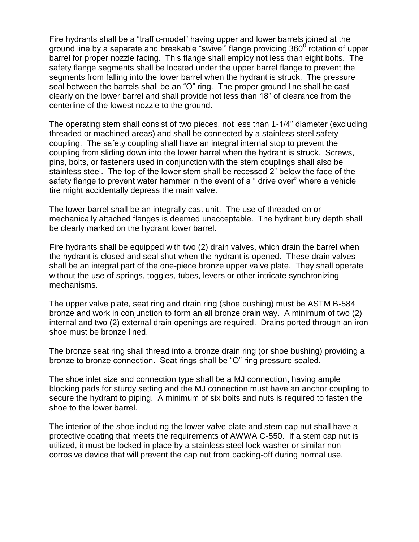Fire hydrants shall be a "traffic-model" having upper and lower barrels joined at the ground line by a separate and breakable "swivel" flange providing 360 $^{\rm 0}$  rotation of upper barrel for proper nozzle facing. This flange shall employ not less than eight bolts. The safety flange segments shall be located under the upper barrel flange to prevent the segments from falling into the lower barrel when the hydrant is struck. The pressure seal between the barrels shall be an "O" ring. The proper ground line shall be cast clearly on the lower barrel and shall provide not less than 18" of clearance from the centerline of the lowest nozzle to the ground.

The operating stem shall consist of two pieces, not less than 1-1/4" diameter (excluding threaded or machined areas) and shall be connected by a stainless steel safety coupling. The safety coupling shall have an integral internal stop to prevent the coupling from sliding down into the lower barrel when the hydrant is struck. Screws, pins, bolts, or fasteners used in conjunction with the stem couplings shall also be stainless steel. The top of the lower stem shall be recessed 2" below the face of the safety flange to prevent water hammer in the event of a " drive over" where a vehicle tire might accidentally depress the main valve.

The lower barrel shall be an integrally cast unit. The use of threaded on or mechanically attached flanges is deemed unacceptable. The hydrant bury depth shall be clearly marked on the hydrant lower barrel.

Fire hydrants shall be equipped with two (2) drain valves, which drain the barrel when the hydrant is closed and seal shut when the hydrant is opened. These drain valves shall be an integral part of the one-piece bronze upper valve plate. They shall operate without the use of springs, toggles, tubes, levers or other intricate synchronizing mechanisms.

The upper valve plate, seat ring and drain ring (shoe bushing) must be ASTM B-584 bronze and work in conjunction to form an all bronze drain way. A minimum of two (2) internal and two (2) external drain openings are required. Drains ported through an iron shoe must be bronze lined.

The bronze seat ring shall thread into a bronze drain ring (or shoe bushing) providing a bronze to bronze connection. Seat rings shall be "O" ring pressure sealed.

The shoe inlet size and connection type shall be a MJ connection, having ample blocking pads for sturdy setting and the MJ connection must have an anchor coupling to secure the hydrant to piping. A minimum of six bolts and nuts is required to fasten the shoe to the lower barrel.

The interior of the shoe including the lower valve plate and stem cap nut shall have a protective coating that meets the requirements of AWWA C-550. If a stem cap nut is utilized, it must be locked in place by a stainless steel lock washer or similar noncorrosive device that will prevent the cap nut from backing-off during normal use.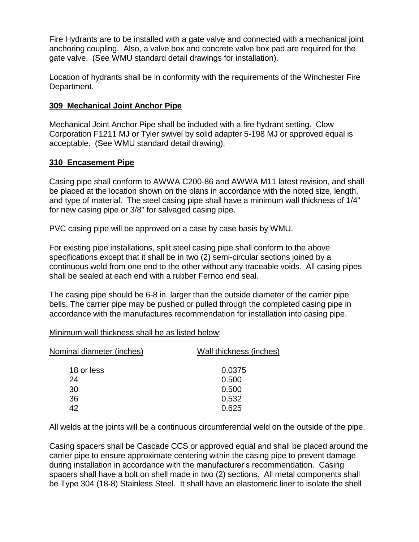Fire Hydrants are to be installed with a gate valve and connected with a mechanical joint anchoring coupling. Also, a valve box and concrete valve box pad are required for the gate valve. (See WMU standard detail drawings for installation).

Location of hydrants shall be in conformity with the requirements of the Winchester Fire Department.

#### **309 Mechanical Joint Anchor Pipe**

Mechanical Joint Anchor Pipe shall be included with a fire hydrant setting. Clow Corporation F1211 MJ or Tyler swivel by solid adapter 5-198 MJ or approved equal is acceptable. (See WMU standard detail drawing).

## **310 Encasement Pipe**

Casing pipe shall conform to AWWA C200-86 and AWWA M11 latest revision, and shall be placed at the location shown on the plans in accordance with the noted size, length, and type of material. The steel casing pipe shall have a minimum wall thickness of 1/4" for new casing pipe or 3/8" for salvaged casing pipe.

PVC casing pipe will be approved on a case by case basis by WMU.

For existing pipe installations, split steel casing pipe shall conform to the above specifications except that it shall be in two (2) semi-circular sections joined by a continuous weld from one end to the other without any traceable voids. All casing pipes shall be sealed at each end with a rubber Fernco end seal.

The casing pipe should be 6-8 in. larger than the outside diameter of the carrier pipe bells. The carrier pipe may be pushed or pulled through the completed casing pipe in accordance with the manufactures recommendation for installation into casing pipe.

Minimum wall thickness shall be as listed below:

| Nominal diameter (inches) | Wall thickness (inches) |
|---------------------------|-------------------------|
| 18 or less                | 0.0375                  |
| 24                        | 0.500                   |
| 30                        | 0.500                   |
| 36                        | 0.532                   |
| 42                        | 0.625                   |
|                           |                         |

All welds at the joints will be a continuous circumferential weld on the outside of the pipe.

Casing spacers shall be Cascade CCS or approved equal and shall be placed around the carrier pipe to ensure approximate centering within the casing pipe to prevent damage during installation in accordance with the manufacturer's recommendation. Casing spacers shall have a bolt on shell made in two (2) sections. All metal components shall be Type 304 (18-8) Stainless Steel. It shall have an elastomeric liner to isolate the shell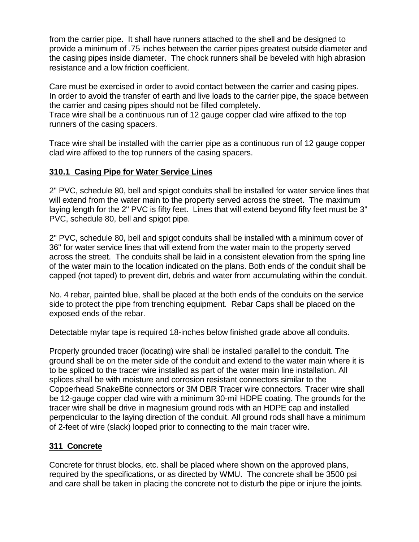from the carrier pipe. It shall have runners attached to the shell and be designed to provide a minimum of .75 inches between the carrier pipes greatest outside diameter and the casing pipes inside diameter. The chock runners shall be beveled with high abrasion resistance and a low friction coefficient.

Care must be exercised in order to avoid contact between the carrier and casing pipes. In order to avoid the transfer of earth and live loads to the carrier pipe, the space between the carrier and casing pipes should not be filled completely.

Trace wire shall be a continuous run of 12 gauge copper clad wire affixed to the top runners of the casing spacers.

Trace wire shall be installed with the carrier pipe as a continuous run of 12 gauge copper clad wire affixed to the top runners of the casing spacers.

# **310.1 Casing Pipe for Water Service Lines**

2" PVC, schedule 80, bell and spigot conduits shall be installed for water service lines that will extend from the water main to the property served across the street. The maximum laying length for the 2" PVC is fifty feet. Lines that will extend beyond fifty feet must be 3" PVC, schedule 80, bell and spigot pipe.

2" PVC, schedule 80, bell and spigot conduits shall be installed with a minimum cover of 36" for water service lines that will extend from the water main to the property served across the street. The conduits shall be laid in a consistent elevation from the spring line of the water main to the location indicated on the plans. Both ends of the conduit shall be capped (not taped) to prevent dirt, debris and water from accumulating within the conduit.

No. 4 rebar, painted blue, shall be placed at the both ends of the conduits on the service side to protect the pipe from trenching equipment. Rebar Caps shall be placed on the exposed ends of the rebar.

Detectable mylar tape is required 18-inches below finished grade above all conduits.

Properly grounded tracer (locating) wire shall be installed parallel to the conduit. The ground shall be on the meter side of the conduit and extend to the water main where it is to be spliced to the tracer wire installed as part of the water main line installation. All splices shall be with moisture and corrosion resistant connectors similar to the Copperhead SnakeBite connectors or 3M DBR Tracer wire connectors. Tracer wire shall be 12-gauge copper clad wire with a minimum 30-mil HDPE coating. The grounds for the tracer wire shall be drive in magnesium ground rods with an HDPE cap and installed perpendicular to the laying direction of the conduit. All ground rods shall have a minimum of 2-feet of wire (slack) looped prior to connecting to the main tracer wire.

# **311 Concrete**

Concrete for thrust blocks, etc. shall be placed where shown on the approved plans, required by the specifications, or as directed by WMU. The concrete shall be 3500 psi and care shall be taken in placing the concrete not to disturb the pipe or injure the joints.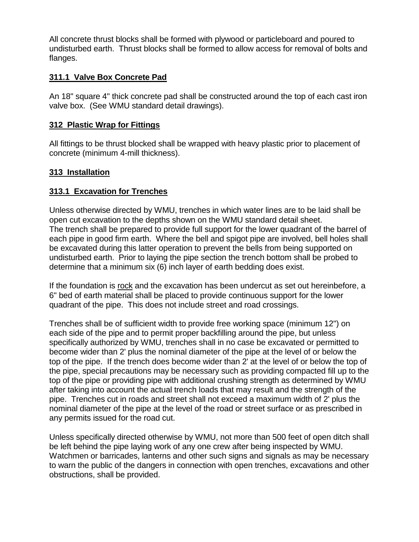All concrete thrust blocks shall be formed with plywood or particleboard and poured to undisturbed earth. Thrust blocks shall be formed to allow access for removal of bolts and flanges.

## **311.1 Valve Box Concrete Pad**

An 18" square 4" thick concrete pad shall be constructed around the top of each cast iron valve box. (See WMU standard detail drawings).

#### **312 Plastic Wrap for Fittings**

All fittings to be thrust blocked shall be wrapped with heavy plastic prior to placement of concrete (minimum 4-mill thickness).

## **313 Installation**

## **313.1 Excavation for Trenches**

Unless otherwise directed by WMU, trenches in which water lines are to be laid shall be open cut excavation to the depths shown on the WMU standard detail sheet. The trench shall be prepared to provide full support for the lower quadrant of the barrel of each pipe in good firm earth. Where the bell and spigot pipe are involved, bell holes shall be excavated during this latter operation to prevent the bells from being supported on undisturbed earth. Prior to laying the pipe section the trench bottom shall be probed to determine that a minimum six (6) inch layer of earth bedding does exist.

If the foundation is rock and the excavation has been undercut as set out hereinbefore, a 6" bed of earth material shall be placed to provide continuous support for the lower quadrant of the pipe. This does not include street and road crossings.

Trenches shall be of sufficient width to provide free working space (minimum 12") on each side of the pipe and to permit proper backfilling around the pipe, but unless specifically authorized by WMU, trenches shall in no case be excavated or permitted to become wider than 2' plus the nominal diameter of the pipe at the level of or below the top of the pipe. If the trench does become wider than 2' at the level of or below the top of the pipe, special precautions may be necessary such as providing compacted fill up to the top of the pipe or providing pipe with additional crushing strength as determined by WMU after taking into account the actual trench loads that may result and the strength of the pipe. Trenches cut in roads and street shall not exceed a maximum width of 2' plus the nominal diameter of the pipe at the level of the road or street surface or as prescribed in any permits issued for the road cut.

Unless specifically directed otherwise by WMU, not more than 500 feet of open ditch shall be left behind the pipe laying work of any one crew after being inspected by WMU. Watchmen or barricades, lanterns and other such signs and signals as may be necessary to warn the public of the dangers in connection with open trenches, excavations and other obstructions, shall be provided.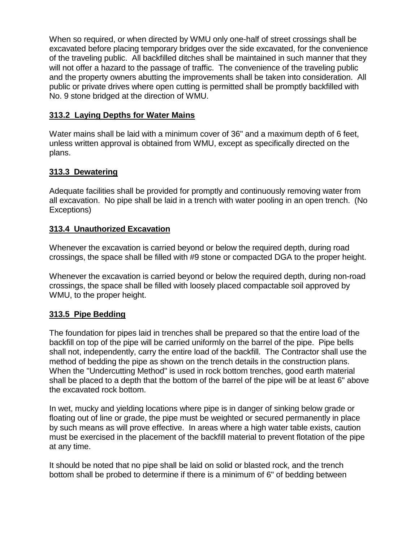When so required, or when directed by WMU only one-half of street crossings shall be excavated before placing temporary bridges over the side excavated, for the convenience of the traveling public. All backfilled ditches shall be maintained in such manner that they will not offer a hazard to the passage of traffic. The convenience of the traveling public and the property owners abutting the improvements shall be taken into consideration. All public or private drives where open cutting is permitted shall be promptly backfilled with No. 9 stone bridged at the direction of WMU.

# **313.2 Laying Depths for Water Mains**

Water mains shall be laid with a minimum cover of 36" and a maximum depth of 6 feet, unless written approval is obtained from WMU, except as specifically directed on the plans.

# **313.3 Dewatering**

Adequate facilities shall be provided for promptly and continuously removing water from all excavation. No pipe shall be laid in a trench with water pooling in an open trench. (No Exceptions)

# **313.4 Unauthorized Excavation**

Whenever the excavation is carried beyond or below the required depth, during road crossings, the space shall be filled with #9 stone or compacted DGA to the proper height.

Whenever the excavation is carried beyond or below the required depth, during non-road crossings, the space shall be filled with loosely placed compactable soil approved by WMU, to the proper height.

# **313.5 Pipe Bedding**

The foundation for pipes laid in trenches shall be prepared so that the entire load of the backfill on top of the pipe will be carried uniformly on the barrel of the pipe. Pipe bells shall not, independently, carry the entire load of the backfill. The Contractor shall use the method of bedding the pipe as shown on the trench details in the construction plans. When the "Undercutting Method" is used in rock bottom trenches, good earth material shall be placed to a depth that the bottom of the barrel of the pipe will be at least 6" above the excavated rock bottom.

In wet, mucky and yielding locations where pipe is in danger of sinking below grade or floating out of line or grade, the pipe must be weighted or secured permanently in place by such means as will prove effective. In areas where a high water table exists, caution must be exercised in the placement of the backfill material to prevent flotation of the pipe at any time.

It should be noted that no pipe shall be laid on solid or blasted rock, and the trench bottom shall be probed to determine if there is a minimum of 6" of bedding between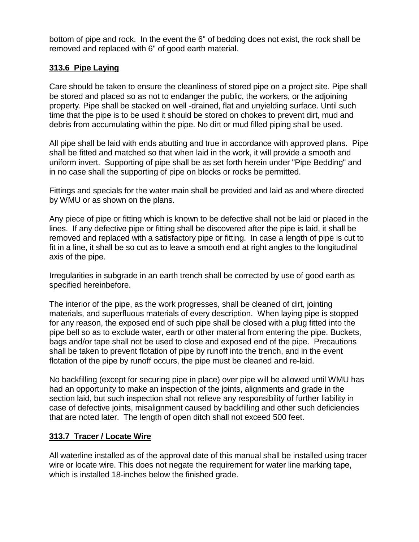bottom of pipe and rock. In the event the 6" of bedding does not exist, the rock shall be removed and replaced with 6" of good earth material.

## **313.6 Pipe Laying**

Care should be taken to ensure the cleanliness of stored pipe on a project site. Pipe shall be stored and placed so as not to endanger the public, the workers, or the adjoining property. Pipe shall be stacked on well -drained, flat and unyielding surface. Until such time that the pipe is to be used it should be stored on chokes to prevent dirt, mud and debris from accumulating within the pipe. No dirt or mud filled piping shall be used.

All pipe shall be laid with ends abutting and true in accordance with approved plans. Pipe shall be fitted and matched so that when laid in the work, it will provide a smooth and uniform invert. Supporting of pipe shall be as set forth herein under "Pipe Bedding" and in no case shall the supporting of pipe on blocks or rocks be permitted.

Fittings and specials for the water main shall be provided and laid as and where directed by WMU or as shown on the plans.

Any piece of pipe or fitting which is known to be defective shall not be laid or placed in the lines. If any defective pipe or fitting shall be discovered after the pipe is laid, it shall be removed and replaced with a satisfactory pipe or fitting. In case a length of pipe is cut to fit in a line, it shall be so cut as to leave a smooth end at right angles to the longitudinal axis of the pipe.

Irregularities in subgrade in an earth trench shall be corrected by use of good earth as specified hereinbefore.

The interior of the pipe, as the work progresses, shall be cleaned of dirt, jointing materials, and superfluous materials of every description. When laying pipe is stopped for any reason, the exposed end of such pipe shall be closed with a plug fitted into the pipe bell so as to exclude water, earth or other material from entering the pipe. Buckets, bags and/or tape shall not be used to close and exposed end of the pipe. Precautions shall be taken to prevent flotation of pipe by runoff into the trench, and in the event flotation of the pipe by runoff occurs, the pipe must be cleaned and re-laid.

No backfilling (except for securing pipe in place) over pipe will be allowed until WMU has had an opportunity to make an inspection of the joints, alignments and grade in the section laid, but such inspection shall not relieve any responsibility of further liability in case of defective joints, misalignment caused by backfilling and other such deficiencies that are noted later. The length of open ditch shall not exceed 500 feet.

# **313.7 Tracer / Locate Wire**

All waterline installed as of the approval date of this manual shall be installed using tracer wire or locate wire. This does not negate the requirement for water line marking tape, which is installed 18-inches below the finished grade.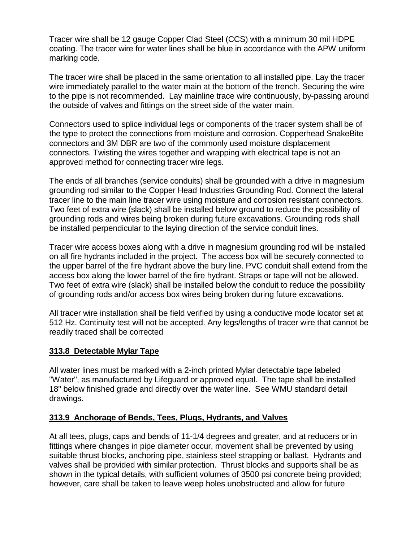Tracer wire shall be 12 gauge Copper Clad Steel (CCS) with a minimum 30 mil HDPE coating. The tracer wire for water lines shall be blue in accordance with the APW uniform marking code.

The tracer wire shall be placed in the same orientation to all installed pipe. Lay the tracer wire immediately parallel to the water main at the bottom of the trench. Securing the wire to the pipe is not recommended. Lay mainline trace wire continuously, by-passing around the outside of valves and fittings on the street side of the water main.

Connectors used to splice individual legs or components of the tracer system shall be of the type to protect the connections from moisture and corrosion. Copperhead SnakeBite connectors and 3M DBR are two of the commonly used moisture displacement connectors. Twisting the wires together and wrapping with electrical tape is not an approved method for connecting tracer wire legs.

The ends of all branches (service conduits) shall be grounded with a drive in magnesium grounding rod similar to the Copper Head Industries Grounding Rod. Connect the lateral tracer line to the main line tracer wire using moisture and corrosion resistant connectors. Two feet of extra wire (slack) shall be installed below ground to reduce the possibility of grounding rods and wires being broken during future excavations. Grounding rods shall be installed perpendicular to the laying direction of the service conduit lines.

Tracer wire access boxes along with a drive in magnesium grounding rod will be installed on all fire hydrants included in the project. The access box will be securely connected to the upper barrel of the fire hydrant above the bury line. PVC conduit shall extend from the access box along the lower barrel of the fire hydrant. Straps or tape will not be allowed. Two feet of extra wire (slack) shall be installed below the conduit to reduce the possibility of grounding rods and/or access box wires being broken during future excavations.

All tracer wire installation shall be field verified by using a conductive mode locator set at 512 Hz. Continuity test will not be accepted. Any legs/lengths of tracer wire that cannot be readily traced shall be corrected

# **313.8 Detectable Mylar Tape**

All water lines must be marked with a 2-inch printed Mylar detectable tape labeled "Water", as manufactured by Lifeguard or approved equal. The tape shall be installed 18" below finished grade and directly over the water line. See WMU standard detail drawings.

# **313.9 Anchorage of Bends, Tees, Plugs, Hydrants, and Valves**

At all tees, plugs, caps and bends of 11-1/4 degrees and greater, and at reducers or in fittings where changes in pipe diameter occur, movement shall be prevented by using suitable thrust blocks, anchoring pipe, stainless steel strapping or ballast. Hydrants and valves shall be provided with similar protection. Thrust blocks and supports shall be as shown in the typical details, with sufficient volumes of 3500 psi concrete being provided; however, care shall be taken to leave weep holes unobstructed and allow for future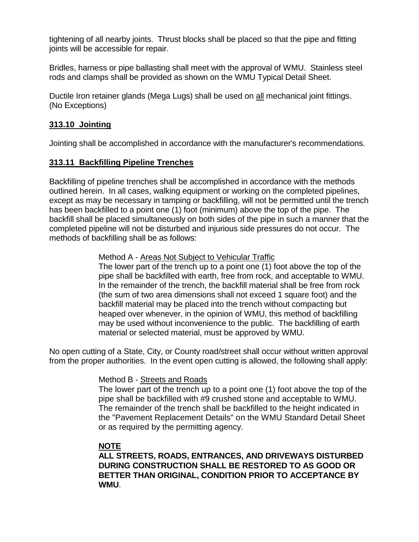tightening of all nearby joints. Thrust blocks shall be placed so that the pipe and fitting joints will be accessible for repair.

Bridles, harness or pipe ballasting shall meet with the approval of WMU. Stainless steel rods and clamps shall be provided as shown on the WMU Typical Detail Sheet.

Ductile Iron retainer glands (Mega Lugs) shall be used on all mechanical joint fittings. (No Exceptions)

# **313.10 Jointing**

Jointing shall be accomplished in accordance with the manufacturer's recommendations.

# **313.11 Backfilling Pipeline Trenches**

Backfilling of pipeline trenches shall be accomplished in accordance with the methods outlined herein. In all cases, walking equipment or working on the completed pipelines, except as may be necessary in tamping or backfilling, will not be permitted until the trench has been backfilled to a point one (1) foot (minimum) above the top of the pipe. The backfill shall be placed simultaneously on both sides of the pipe in such a manner that the completed pipeline will not be disturbed and injurious side pressures do not occur. The methods of backfilling shall be as follows:

## Method A - Areas Not Subject to Vehicular Traffic

The lower part of the trench up to a point one (1) foot above the top of the pipe shall be backfilled with earth, free from rock, and acceptable to WMU. In the remainder of the trench, the backfill material shall be free from rock (the sum of two area dimensions shall not exceed 1 square foot) and the backfill material may be placed into the trench without compacting but heaped over whenever, in the opinion of WMU, this method of backfilling may be used without inconvenience to the public. The backfilling of earth material or selected material, must be approved by WMU.

No open cutting of a State, City, or County road/street shall occur without written approval from the proper authorities. In the event open cutting is allowed, the following shall apply:

# Method B - Streets and Roads

The lower part of the trench up to a point one (1) foot above the top of the pipe shall be backfilled with #9 crushed stone and acceptable to WMU. The remainder of the trench shall be backfilled to the height indicated in the "Pavement Replacement Details" on the WMU Standard Detail Sheet or as required by the permitting agency.

# **NOTE**

**ALL STREETS, ROADS, ENTRANCES, AND DRIVEWAYS DISTURBED DURING CONSTRUCTION SHALL BE RESTORED TO AS GOOD OR BETTER THAN ORIGINAL, CONDITION PRIOR TO ACCEPTANCE BY WMU**.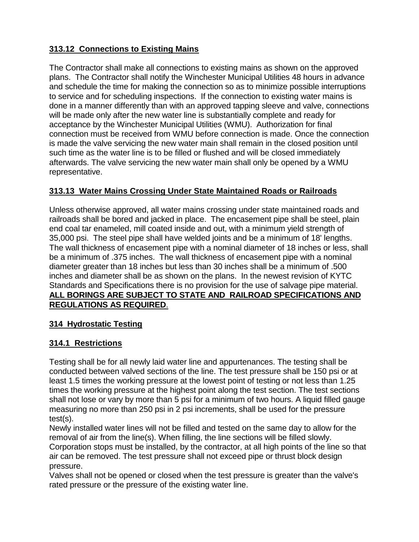# **313.12 Connections to Existing Mains**

The Contractor shall make all connections to existing mains as shown on the approved plans. The Contractor shall notify the Winchester Municipal Utilities 48 hours in advance and schedule the time for making the connection so as to minimize possible interruptions to service and for scheduling inspections. If the connection to existing water mains is done in a manner differently than with an approved tapping sleeve and valve, connections will be made only after the new water line is substantially complete and ready for acceptance by the Winchester Municipal Utilities (WMU). Authorization for final connection must be received from WMU before connection is made. Once the connection is made the valve servicing the new water main shall remain in the closed position until such time as the water line is to be filled or flushed and will be closed immediately afterwards. The valve servicing the new water main shall only be opened by a WMU representative.

# **313.13 Water Mains Crossing Under State Maintained Roads or Railroads**

Unless otherwise approved, all water mains crossing under state maintained roads and railroads shall be bored and jacked in place. The encasement pipe shall be steel, plain end coal tar enameled, mill coated inside and out, with a minimum yield strength of 35,000 psi. The steel pipe shall have welded joints and be a minimum of 18' lengths. The wall thickness of encasement pipe with a nominal diameter of 18 inches or less, shall be a minimum of .375 inches. The wall thickness of encasement pipe with a nominal diameter greater than 18 inches but less than 30 inches shall be a minimum of .500 inches and diameter shall be as shown on the plans. In the newest revision of KYTC Standards and Specifications there is no provision for the use of salvage pipe material. **ALL BORINGS ARE SUBJECT TO STATE AND RAILROAD SPECIFICATIONS AND REGULATIONS AS REQUIRED**.

# **314 Hydrostatic Testing**

# **314.1 Restrictions**

Testing shall be for all newly laid water line and appurtenances. The testing shall be conducted between valved sections of the line. The test pressure shall be 150 psi or at least 1.5 times the working pressure at the lowest point of testing or not less than 1.25 times the working pressure at the highest point along the test section. The test sections shall not lose or vary by more than 5 psi for a minimum of two hours. A liquid filled gauge measuring no more than 250 psi in 2 psi increments, shall be used for the pressure test(s).

Newly installed water lines will not be filled and tested on the same day to allow for the removal of air from the line(s). When filling, the line sections will be filled slowly. Corporation stops must be installed, by the contractor, at all high points of the line so that air can be removed. The test pressure shall not exceed pipe or thrust block design pressure.

Valves shall not be opened or closed when the test pressure is greater than the valve's rated pressure or the pressure of the existing water line.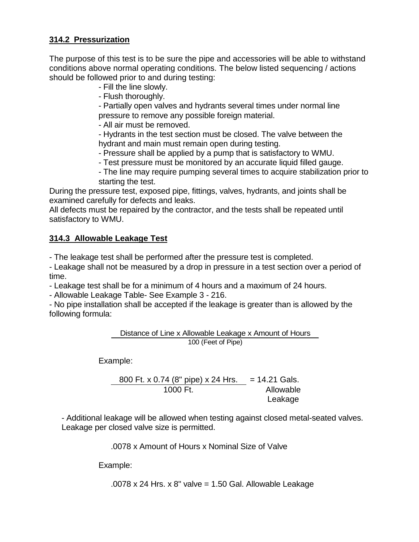## **314.2 Pressurization**

The purpose of this test is to be sure the pipe and accessories will be able to withstand conditions above normal operating conditions. The below listed sequencing / actions should be followed prior to and during testing:

- Fill the line slowly.
- Flush thoroughly.

- Partially open valves and hydrants several times under normal line pressure to remove any possible foreign material.

- All air must be removed.

- Hydrants in the test section must be closed. The valve between the hydrant and main must remain open during testing.

- Pressure shall be applied by a pump that is satisfactory to WMU.

- Test pressure must be monitored by an accurate liquid filled gauge.

- The line may require pumping several times to acquire stabilization prior to starting the test.

During the pressure test, exposed pipe, fittings, valves, hydrants, and joints shall be examined carefully for defects and leaks.

All defects must be repaired by the contractor, and the tests shall be repeated until satisfactory to WMU.

# **314.3 Allowable Leakage Test**

- The leakage test shall be performed after the pressure test is completed.

- Leakage shall not be measured by a drop in pressure in a test section over a period of time.

- Leakage test shall be for a minimum of 4 hours and a maximum of 24 hours.

- Allowable Leakage Table- See Example 3 - 216.

- No pipe installation shall be accepted if the leakage is greater than is allowed by the following formula:

> Distance of Line x Allowable Leakage x Amount of Hours 100 (Feet of Pipe)

Example:

800 Ft. x 0.74 (8" pipe) x 24 Hrs. = 14.21 Gals. 1000 Ft. Allowable Leakage

- Additional leakage will be allowed when testing against closed metal-seated valves. Leakage per closed valve size is permitted.

.0078 x Amount of Hours x Nominal Size of Valve

Example:

.0078 x 24 Hrs. x  $8''$  valve = 1.50 Gal. Allowable Leakage